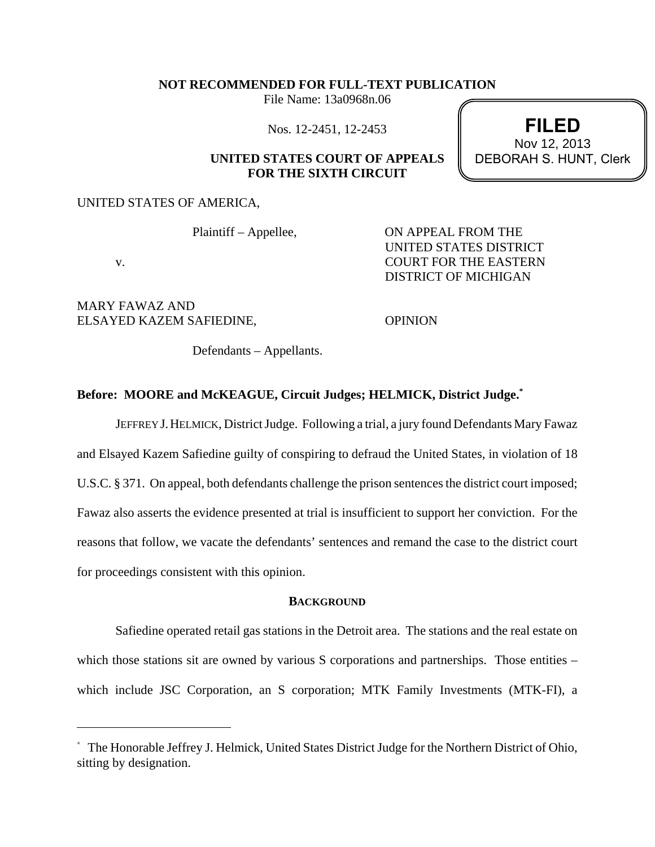## **NOT RECOMMENDED FOR FULL-TEXT PUBLICATION**

File Name: 13a0968n.06

Nos. 12-2451, 12-2453

# **UNITED STATES COURT OF APPEALS FOR THE SIXTH CIRCUIT**

UNITED STATES OF AMERICA,

Plaintiff – Appellee, ON APPEAL FROM THE UNITED STATES DISTRICT v. DISTRICT OF MICHIGAN

**FILED**

DEBORAH S. HUNT, Clerk Nov 12, 2013

MARY FAWAZ AND ELSAYED KAZEM SAFIEDINE, OPINION

Defendants – Appellants.

## **Before: MOORE and McKEAGUE, Circuit Judges; HELMICK, District Judge.\***

JEFFREY J.HELMICK, District Judge. Following a trial, a jury found Defendants Mary Fawaz and Elsayed Kazem Safiedine guilty of conspiring to defraud the United States, in violation of 18 U.S.C. § 371. On appeal, both defendants challenge the prison sentences the district court imposed; Fawaz also asserts the evidence presented at trial is insufficient to support her conviction. For the reasons that follow, we vacate the defendants' sentences and remand the case to the district court for proceedings consistent with this opinion.

### **BACKGROUND**

Safiedine operated retail gas stations in the Detroit area. The stations and the real estate on which those stations sit are owned by various S corporations and partnerships. Those entities – which include JSC Corporation, an S corporation; MTK Family Investments (MTK-FI), a

<sup>\*</sup> The Honorable Jeffrey J. Helmick, United States District Judge for the Northern District of Ohio, sitting by designation.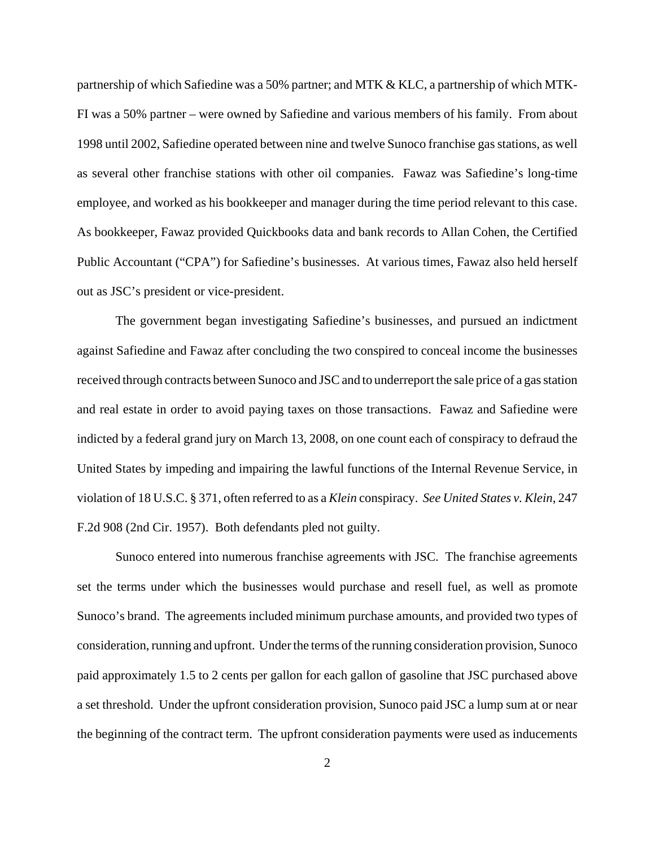partnership of which Safiedine was a 50% partner; and MTK & KLC, a partnership of which MTK-FI was a 50% partner – were owned by Safiedine and various members of his family. From about 1998 until 2002, Safiedine operated between nine and twelve Sunoco franchise gas stations, as well as several other franchise stations with other oil companies. Fawaz was Safiedine's long-time employee, and worked as his bookkeeper and manager during the time period relevant to this case. As bookkeeper, Fawaz provided Quickbooks data and bank records to Allan Cohen, the Certified Public Accountant ("CPA") for Safiedine's businesses. At various times, Fawaz also held herself out as JSC's president or vice-president.

The government began investigating Safiedine's businesses, and pursued an indictment against Safiedine and Fawaz after concluding the two conspired to conceal income the businesses received through contracts between Sunoco and JSC and to underreport the sale price of a gas station and real estate in order to avoid paying taxes on those transactions. Fawaz and Safiedine were indicted by a federal grand jury on March 13, 2008, on one count each of conspiracy to defraud the United States by impeding and impairing the lawful functions of the Internal Revenue Service, in violation of 18 U.S.C. § 371, often referred to as a *Klein* conspiracy. *See United States v. Klein*, 247 F.2d 908 (2nd Cir. 1957). Both defendants pled not guilty.

Sunoco entered into numerous franchise agreements with JSC. The franchise agreements set the terms under which the businesses would purchase and resell fuel, as well as promote Sunoco's brand. The agreements included minimum purchase amounts, and provided two types of consideration, running and upfront. Under the terms of the running consideration provision, Sunoco paid approximately 1.5 to 2 cents per gallon for each gallon of gasoline that JSC purchased above a set threshold. Under the upfront consideration provision, Sunoco paid JSC a lump sum at or near the beginning of the contract term. The upfront consideration payments were used as inducements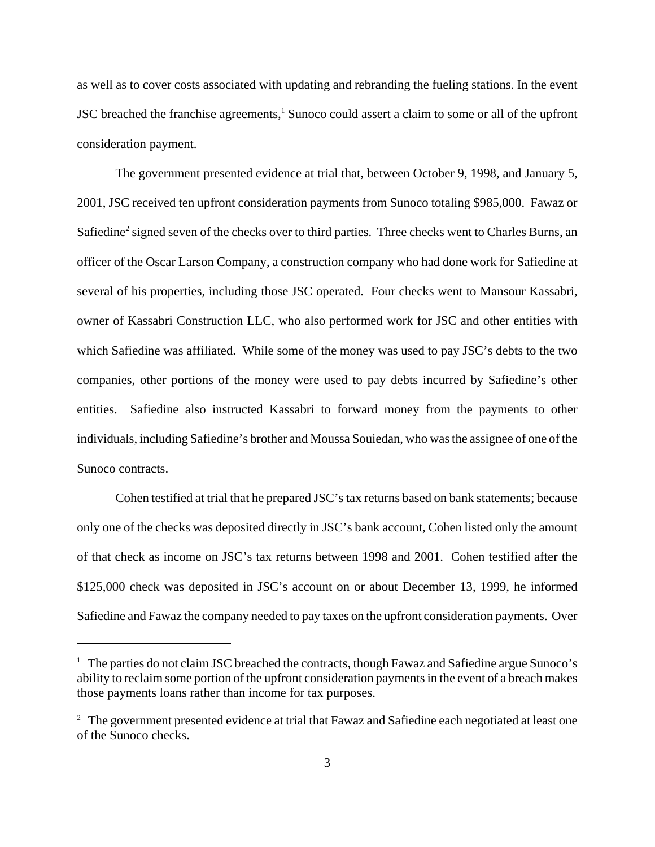as well as to cover costs associated with updating and rebranding the fueling stations. In the event JSC breached the franchise agreements, $<sup>1</sup>$  Sunoco could assert a claim to some or all of the upfront</sup> consideration payment.

The government presented evidence at trial that, between October 9, 1998, and January 5, 2001, JSC received ten upfront consideration payments from Sunoco totaling \$985,000. Fawaz or Safiedine<sup>2</sup> signed seven of the checks over to third parties. Three checks went to Charles Burns, an officer of the Oscar Larson Company, a construction company who had done work for Safiedine at several of his properties, including those JSC operated. Four checks went to Mansour Kassabri, owner of Kassabri Construction LLC, who also performed work for JSC and other entities with which Safiedine was affiliated. While some of the money was used to pay JSC's debts to the two companies, other portions of the money were used to pay debts incurred by Safiedine's other entities. Safiedine also instructed Kassabri to forward money from the payments to other individuals, including Safiedine's brother and Moussa Souiedan, who was the assignee of one of the Sunoco contracts.

Cohen testified at trial that he prepared JSC's tax returns based on bank statements; because only one of the checks was deposited directly in JSC's bank account, Cohen listed only the amount of that check as income on JSC's tax returns between 1998 and 2001. Cohen testified after the \$125,000 check was deposited in JSC's account on or about December 13, 1999, he informed Safiedine and Fawaz the company needed to pay taxes on the upfront consideration payments. Over

<sup>&</sup>lt;sup>1</sup> The parties do not claim JSC breached the contracts, though Fawaz and Safiedine argue Sunoco's ability to reclaim some portion of the upfront consideration payments in the event of a breach makes those payments loans rather than income for tax purposes.

<sup>&</sup>lt;sup>2</sup> The government presented evidence at trial that Fawaz and Safiedine each negotiated at least one of the Sunoco checks.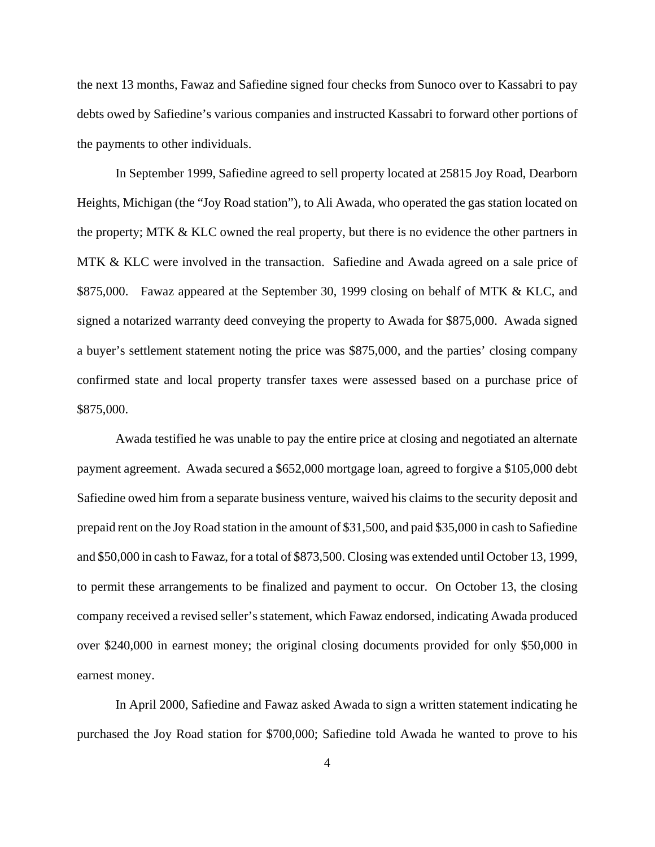the next 13 months, Fawaz and Safiedine signed four checks from Sunoco over to Kassabri to pay debts owed by Safiedine's various companies and instructed Kassabri to forward other portions of the payments to other individuals.

In September 1999, Safiedine agreed to sell property located at 25815 Joy Road, Dearborn Heights, Michigan (the "Joy Road station"), to Ali Awada, who operated the gas station located on the property; MTK & KLC owned the real property, but there is no evidence the other partners in MTK & KLC were involved in the transaction. Safiedine and Awada agreed on a sale price of \$875,000. Fawaz appeared at the September 30, 1999 closing on behalf of MTK & KLC, and signed a notarized warranty deed conveying the property to Awada for \$875,000. Awada signed a buyer's settlement statement noting the price was \$875,000, and the parties' closing company confirmed state and local property transfer taxes were assessed based on a purchase price of \$875,000.

Awada testified he was unable to pay the entire price at closing and negotiated an alternate payment agreement. Awada secured a \$652,000 mortgage loan, agreed to forgive a \$105,000 debt Safiedine owed him from a separate business venture, waived his claims to the security deposit and prepaid rent on the Joy Road station in the amount of \$31,500, and paid \$35,000 in cash to Safiedine and \$50,000 in cash to Fawaz, for a total of \$873,500. Closing was extended until October 13, 1999, to permit these arrangements to be finalized and payment to occur. On October 13, the closing company received a revised seller's statement, which Fawaz endorsed, indicating Awada produced over \$240,000 in earnest money; the original closing documents provided for only \$50,000 in earnest money.

In April 2000, Safiedine and Fawaz asked Awada to sign a written statement indicating he purchased the Joy Road station for \$700,000; Safiedine told Awada he wanted to prove to his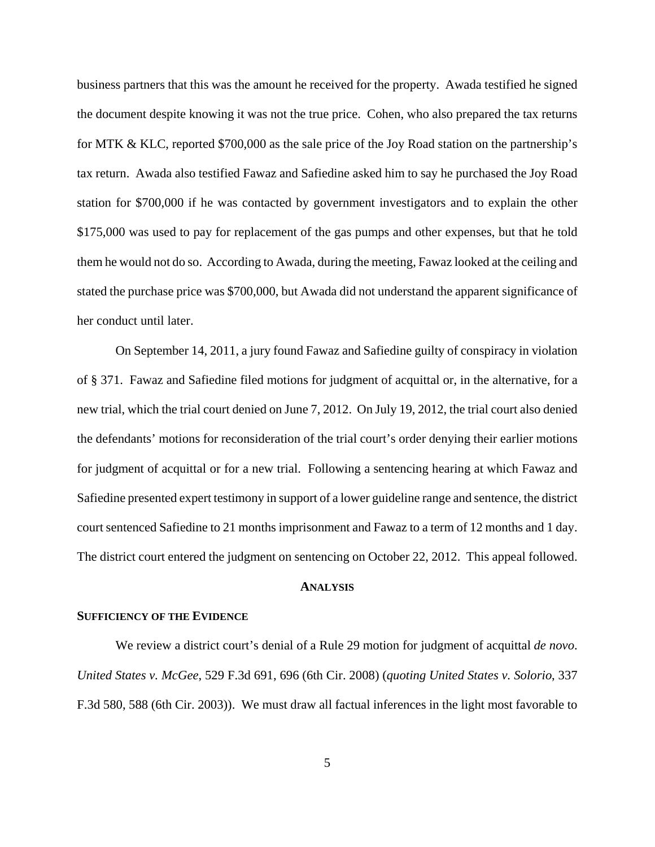business partners that this was the amount he received for the property. Awada testified he signed the document despite knowing it was not the true price. Cohen, who also prepared the tax returns for MTK & KLC, reported \$700,000 as the sale price of the Joy Road station on the partnership's tax return. Awada also testified Fawaz and Safiedine asked him to say he purchased the Joy Road station for \$700,000 if he was contacted by government investigators and to explain the other \$175,000 was used to pay for replacement of the gas pumps and other expenses, but that he told them he would not do so. According to Awada, during the meeting, Fawaz looked at the ceiling and stated the purchase price was \$700,000, but Awada did not understand the apparent significance of her conduct until later.

On September 14, 2011, a jury found Fawaz and Safiedine guilty of conspiracy in violation of § 371. Fawaz and Safiedine filed motions for judgment of acquittal or, in the alternative, for a new trial, which the trial court denied on June 7, 2012. On July 19, 2012, the trial court also denied the defendants' motions for reconsideration of the trial court's order denying their earlier motions for judgment of acquittal or for a new trial. Following a sentencing hearing at which Fawaz and Safiedine presented expert testimony in support of a lower guideline range and sentence, the district court sentenced Safiedine to 21 months imprisonment and Fawaz to a term of 12 months and 1 day. The district court entered the judgment on sentencing on October 22, 2012. This appeal followed.

#### **ANALYSIS**

#### **SUFFICIENCY OF THE EVIDENCE**

We review a district court's denial of a Rule 29 motion for judgment of acquittal *de novo*. *United States v. McGee*, 529 F.3d 691, 696 (6th Cir. 2008) (*quoting United States v. Solorio*, 337 F.3d 580, 588 (6th Cir. 2003)). We must draw all factual inferences in the light most favorable to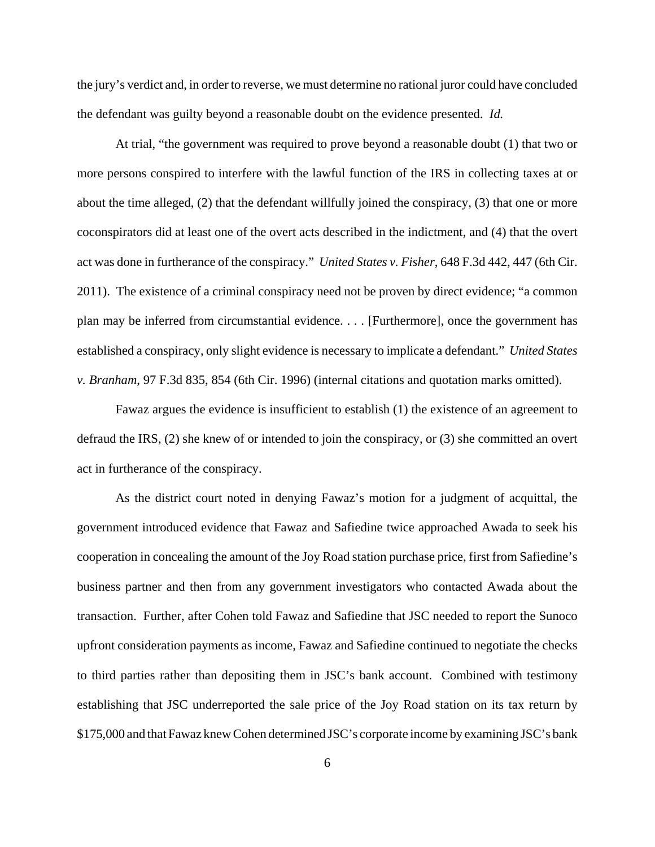the jury's verdict and, in order to reverse, we must determine no rational juror could have concluded the defendant was guilty beyond a reasonable doubt on the evidence presented. *Id.*

At trial, "the government was required to prove beyond a reasonable doubt (1) that two or more persons conspired to interfere with the lawful function of the IRS in collecting taxes at or about the time alleged, (2) that the defendant willfully joined the conspiracy, (3) that one or more coconspirators did at least one of the overt acts described in the indictment, and (4) that the overt act was done in furtherance of the conspiracy." *United States v. Fisher*, 648 F.3d 442, 447 (6th Cir. 2011). The existence of a criminal conspiracy need not be proven by direct evidence; "a common plan may be inferred from circumstantial evidence. . . . [Furthermore], once the government has established a conspiracy, only slight evidence is necessary to implicate a defendant." *United States v. Branham*, 97 F.3d 835, 854 (6th Cir. 1996) (internal citations and quotation marks omitted).

Fawaz argues the evidence is insufficient to establish (1) the existence of an agreement to defraud the IRS, (2) she knew of or intended to join the conspiracy, or (3) she committed an overt act in furtherance of the conspiracy.

As the district court noted in denying Fawaz's motion for a judgment of acquittal, the government introduced evidence that Fawaz and Safiedine twice approached Awada to seek his cooperation in concealing the amount of the Joy Road station purchase price, first from Safiedine's business partner and then from any government investigators who contacted Awada about the transaction. Further, after Cohen told Fawaz and Safiedine that JSC needed to report the Sunoco upfront consideration payments as income, Fawaz and Safiedine continued to negotiate the checks to third parties rather than depositing them in JSC's bank account. Combined with testimony establishing that JSC underreported the sale price of the Joy Road station on its tax return by \$175,000 and that Fawaz knew Cohen determined JSC's corporate income by examining JSC's bank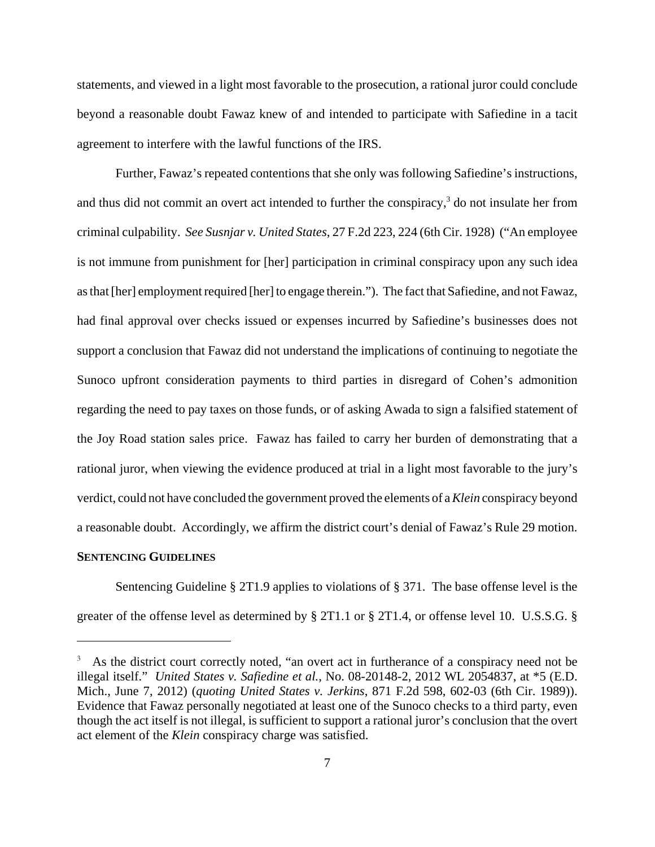statements, and viewed in a light most favorable to the prosecution, a rational juror could conclude beyond a reasonable doubt Fawaz knew of and intended to participate with Safiedine in a tacit agreement to interfere with the lawful functions of the IRS.

Further, Fawaz's repeated contentions that she only was following Safiedine's instructions, and thus did not commit an overt act intended to further the conspiracy,<sup>3</sup> do not insulate her from criminal culpability. *See Susnjar v. United States*, 27 F.2d 223, 224 (6th Cir. 1928) ("An employee is not immune from punishment for [her] participation in criminal conspiracy upon any such idea as that [her] employment required [her] to engage therein."). The fact that Safiedine, and not Fawaz, had final approval over checks issued or expenses incurred by Safiedine's businesses does not support a conclusion that Fawaz did not understand the implications of continuing to negotiate the Sunoco upfront consideration payments to third parties in disregard of Cohen's admonition regarding the need to pay taxes on those funds, or of asking Awada to sign a falsified statement of the Joy Road station sales price. Fawaz has failed to carry her burden of demonstrating that a rational juror, when viewing the evidence produced at trial in a light most favorable to the jury's verdict, could not have concluded the government proved the elements of a *Klein* conspiracy beyond a reasonable doubt. Accordingly, we affirm the district court's denial of Fawaz's Rule 29 motion.

### **SENTENCING GUIDELINES**

Sentencing Guideline § 2T1.9 applies to violations of § 371. The base offense level is the greater of the offense level as determined by § 2T1.1 or § 2T1.4, or offense level 10. U.S.S.G. §

<sup>3</sup> As the district court correctly noted, "an overt act in furtherance of a conspiracy need not be illegal itself." *United States v. Safiedine et al.*, No. 08-20148-2, 2012 WL 2054837, at \*5 (E.D. Mich., June 7, 2012) (*quoting United States v. Jerkins*, 871 F.2d 598, 602-03 (6th Cir. 1989)). Evidence that Fawaz personally negotiated at least one of the Sunoco checks to a third party, even though the act itself is not illegal, is sufficient to support a rational juror's conclusion that the overt act element of the *Klein* conspiracy charge was satisfied.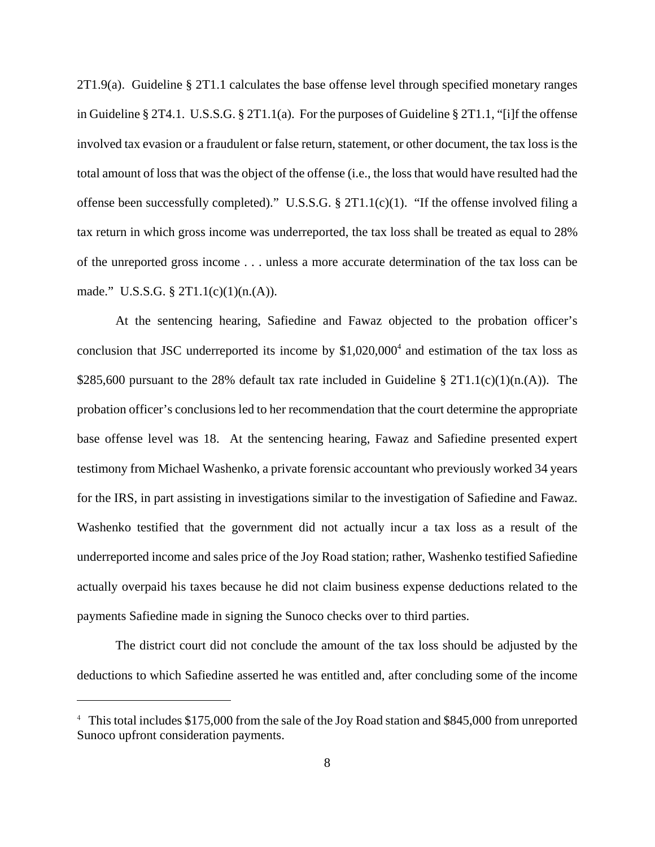2T1.9(a). Guideline § 2T1.1 calculates the base offense level through specified monetary ranges in Guideline  $\S 2T4.1$ . U.S.S.G.  $\S 2T1.1(a)$ . For the purposes of Guideline  $\S 2T1.1$ , "[i]f the offense involved tax evasion or a fraudulent or false return, statement, or other document, the tax loss is the total amount of loss that was the object of the offense (i.e., the loss that would have resulted had the offense been successfully completed)." U.S.S.G. § 2T1.1(c)(1). "If the offense involved filing a tax return in which gross income was underreported, the tax loss shall be treated as equal to 28% of the unreported gross income . . . unless a more accurate determination of the tax loss can be made." U.S.S.G.  $\S 2T1.1(c)(1)(n.(A)).$ 

At the sentencing hearing, Safiedine and Fawaz objected to the probation officer's conclusion that JSC underreported its income by  $$1,020,000<sup>4</sup>$  and estimation of the tax loss as \$285,600 pursuant to the 28% default tax rate included in Guideline §  $2T1.1(c)(1)(n.(A))$ . The probation officer's conclusions led to her recommendation that the court determine the appropriate base offense level was 18. At the sentencing hearing, Fawaz and Safiedine presented expert testimony from Michael Washenko, a private forensic accountant who previously worked 34 years for the IRS, in part assisting in investigations similar to the investigation of Safiedine and Fawaz. Washenko testified that the government did not actually incur a tax loss as a result of the underreported income and sales price of the Joy Road station; rather, Washenko testified Safiedine actually overpaid his taxes because he did not claim business expense deductions related to the payments Safiedine made in signing the Sunoco checks over to third parties.

The district court did not conclude the amount of the tax loss should be adjusted by the deductions to which Safiedine asserted he was entitled and, after concluding some of the income

<sup>&</sup>lt;sup>4</sup> This total includes \$175,000 from the sale of the Joy Road station and \$845,000 from unreported Sunoco upfront consideration payments.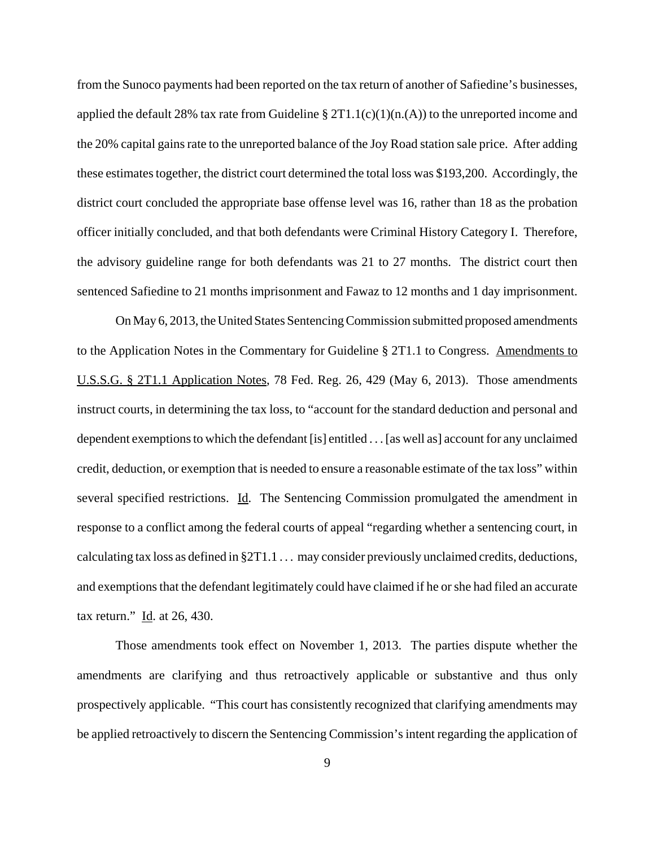from the Sunoco payments had been reported on the tax return of another of Safiedine's businesses, applied the default 28% tax rate from Guideline  $\S 2T1.1(c)(1)(n.(A))$  to the unreported income and the 20% capital gains rate to the unreported balance of the Joy Road station sale price. After adding these estimates together, the district court determined the total loss was \$193,200. Accordingly, the district court concluded the appropriate base offense level was 16, rather than 18 as the probation officer initially concluded, and that both defendants were Criminal History Category I. Therefore, the advisory guideline range for both defendants was 21 to 27 months. The district court then sentenced Safiedine to 21 months imprisonment and Fawaz to 12 months and 1 day imprisonment.

On May 6, 2013, the United States Sentencing Commission submitted proposed amendments to the Application Notes in the Commentary for Guideline § 2T1.1 to Congress. Amendments to U.S.S.G. § 2T1.1 Application Notes, 78 Fed. Reg. 26, 429 (May 6, 2013). Those amendments instruct courts, in determining the tax loss, to "account for the standard deduction and personal and dependent exemptions to which the defendant [is] entitled . . . [as well as] account for any unclaimed credit, deduction, or exemption that is needed to ensure a reasonable estimate of the tax loss" within several specified restrictions. Id. The Sentencing Commission promulgated the amendment in response to a conflict among the federal courts of appeal "regarding whether a sentencing court, in calculating tax loss as defined in §2T1.1 . . . may consider previously unclaimed credits, deductions, and exemptions that the defendant legitimately could have claimed if he or she had filed an accurate tax return."  $\underline{Id}$ . at 26, 430.

Those amendments took effect on November 1, 2013. The parties dispute whether the amendments are clarifying and thus retroactively applicable or substantive and thus only prospectively applicable. "This court has consistently recognized that clarifying amendments may be applied retroactively to discern the Sentencing Commission's intent regarding the application of